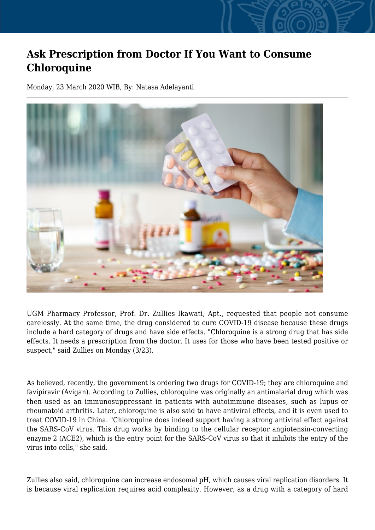## **Ask Prescription from Doctor If You Want to Consume Chloroquine**

Monday, 23 March 2020 WIB, By: Natasa Adelayanti



UGM Pharmacy Professor, Prof. Dr. Zullies Ikawati, Apt., requested that people not consume carelessly. At the same time, the drug considered to cure COVID-19 disease because these drugs include a hard category of drugs and have side effects. "Chloroquine is a strong drug that has side effects. It needs a prescription from the doctor. It uses for those who have been tested positive or suspect," said Zullies on Monday (3/23).

As believed, recently, the government is ordering two drugs for COVID-19; they are chloroquine and favipiravir (Avigan). According to Zullies, chloroquine was originally an antimalarial drug which was then used as an immunosuppressant in patients with autoimmune diseases, such as lupus or rheumatoid arthritis. Later, chloroquine is also said to have antiviral effects, and it is even used to treat COVID-19 in China. "Chloroquine does indeed support having a strong antiviral effect against the SARS-CoV virus. This drug works by binding to the cellular receptor angiotensin-converting enzyme 2 (ACE2), which is the entry point for the SARS-CoV virus so that it inhibits the entry of the virus into cells," she said.

Zullies also said, chloroquine can increase endosomal pH, which causes viral replication disorders. It is because viral replication requires acid complexity. However, as a drug with a category of hard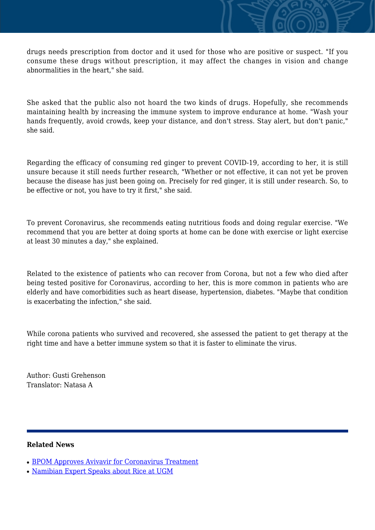drugs needs prescription from doctor and it used for those who are positive or suspect. "If you consume these drugs without prescription, it may affect the changes in vision and change abnormalities in the heart," she said.

She asked that the public also not hoard the two kinds of drugs. Hopefully, she recommends maintaining health by increasing the immune system to improve endurance at home. "Wash your hands frequently, avoid crowds, keep your distance, and don't stress. Stay alert, but don't panic," she said.

Regarding the efficacy of consuming red ginger to prevent COVID-19, according to her, it is still unsure because it still needs further research, "Whether or not effective, it can not yet be proven because the disease has just been going on. Precisely for red ginger, it is still under research. So, to be effective or not, you have to try it first," she said.

To prevent Coronavirus, she recommends eating nutritious foods and doing regular exercise. "We recommend that you are better at doing sports at home can be done with exercise or light exercise at least 30 minutes a day," she explained.

Related to the existence of patients who can recover from Corona, but not a few who died after being tested positive for Coronavirus, according to her, this is more common in patients who are elderly and have comorbidities such as heart disease, hypertension, diabetes. "Maybe that condition is exacerbating the infection," she said.

While corona patients who survived and recovered, she assessed the patient to get therapy at the right time and have a better immune system so that it is faster to eliminate the virus.

Author: Gusti Grehenson Translator: Natasa A

## **Related News**

- [BPOM Approves Avivavir for Coronavirus Treatment](http://ugm.ac.id/www.ugm.ac.id//en/news/11969-s-obat-pharmacist-s-friend-apps-for-medical-prescription)
- [Namibian Expert Speaks about Rice at UGM](http://ugm.ac.id/www.ugm.ac.id//en/news/21292-ivermectin-for-covid-19-treatment-expert-says-further-studies-needed)